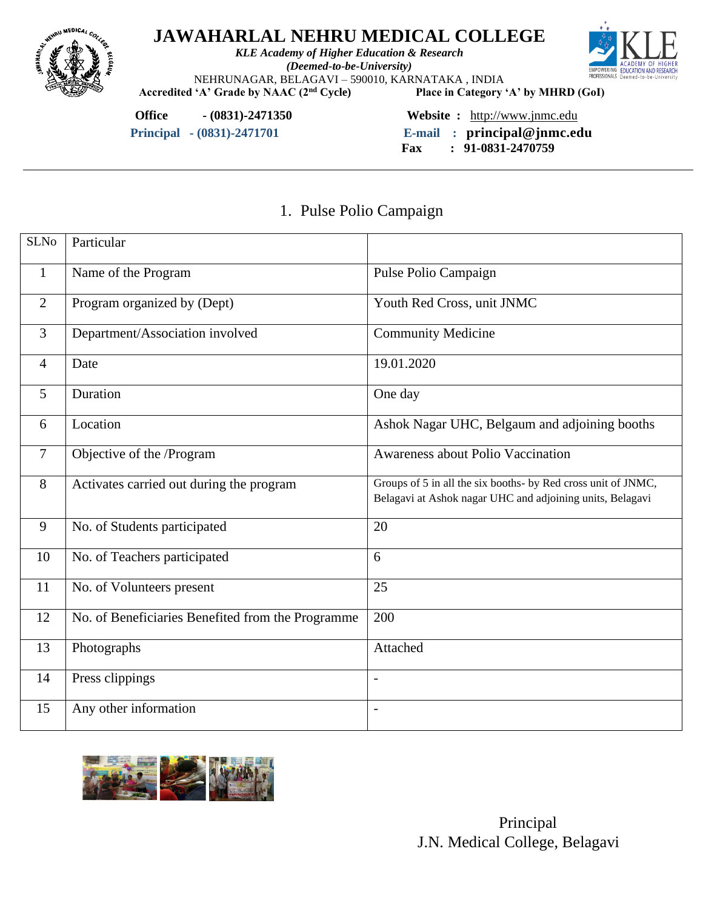

*KLE Academy of Higher Education & Research (Deemed-to-be-University)* NEHRUNAGAR, BELAGAVI – 590010, KARNATAKA, INDIA<br>
'A' Grade by NAAC (2<sup>nd</sup> Cycle) Place in Category 'A' by MHRD (GoI)



Accredited 'A' Grade by NAAC (2<sup>nd</sup> Cycle)

**Office - (0831)-2471350 Website :** [http://www.jnmc.edu](http://www.jnmc.edu/)

 **Principal - (0831)-2471701 E-mail : principal@jnmc.edu**

 **Fax : 91-0831-2470759**

### 1. Pulse Polio Campaign

| <b>SLNo</b>     | Particular                                        |                                                                                                                            |
|-----------------|---------------------------------------------------|----------------------------------------------------------------------------------------------------------------------------|
| $\mathbf{1}$    | Name of the Program                               | Pulse Polio Campaign                                                                                                       |
| 2               | Program organized by (Dept)                       | Youth Red Cross, unit JNMC                                                                                                 |
| 3               | Department/Association involved                   | <b>Community Medicine</b>                                                                                                  |
| $\overline{4}$  | Date                                              | 19.01.2020                                                                                                                 |
| $5\overline{)}$ | Duration                                          | One day                                                                                                                    |
| 6               | Location                                          | Ashok Nagar UHC, Belgaum and adjoining booths                                                                              |
| $\overline{7}$  | Objective of the /Program                         | Awareness about Polio Vaccination                                                                                          |
| 8               | Activates carried out during the program          | Groups of 5 in all the six booths- by Red cross unit of JNMC,<br>Belagavi at Ashok nagar UHC and adjoining units, Belagavi |
| 9               | No. of Students participated                      | 20                                                                                                                         |
| 10              | No. of Teachers participated                      | 6                                                                                                                          |
| 11              | No. of Volunteers present                         | 25                                                                                                                         |
| 12              | No. of Beneficiaries Benefited from the Programme | 200                                                                                                                        |
| 13              | Photographs                                       | Attached                                                                                                                   |
| 14              | Press clippings                                   |                                                                                                                            |
| 15              | Any other information                             | $\overline{\phantom{a}}$                                                                                                   |

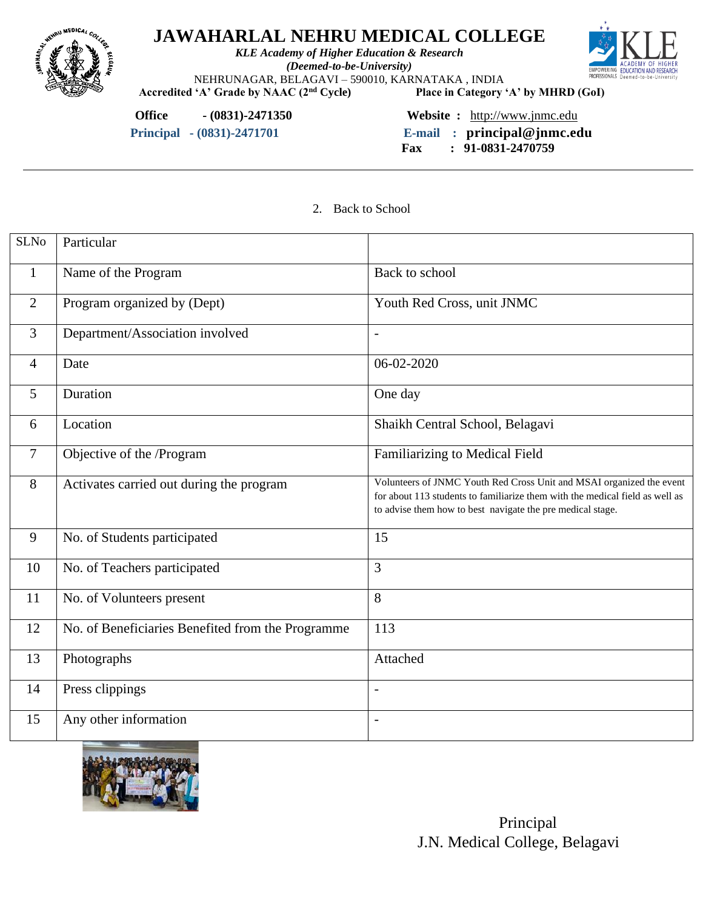

*KLE Academy of Higher Education & Research (Deemed-to-be-University)* NEHRUNAGAR, BELAGAVI – 590010, KARNATAKA, INDIA<br>
'A' Grade by NAAC (2<sup>nd</sup> Cycle) Place in Category 'A' by MHRD (GoI)



Accredited 'A' Grade by NAAC (2<sup>nd</sup> Cycle)

**Office - (0831)-2471350 Website :** [http://www.jnmc.edu](http://www.jnmc.edu/)

 **Principal - (0831)-2471701 E-mail : principal@jnmc.edu Fax : 91-0831-2470759**

2. Back to School

| <b>SLNo</b>    | Particular                                        |                                                                                                                                                                                                                    |
|----------------|---------------------------------------------------|--------------------------------------------------------------------------------------------------------------------------------------------------------------------------------------------------------------------|
| $\mathbf{1}$   | Name of the Program                               | Back to school                                                                                                                                                                                                     |
| $\overline{2}$ | Program organized by (Dept)                       | Youth Red Cross, unit JNMC                                                                                                                                                                                         |
| $\overline{3}$ | Department/Association involved                   | $\frac{1}{2}$                                                                                                                                                                                                      |
| $\overline{4}$ | Date                                              | 06-02-2020                                                                                                                                                                                                         |
| 5              | Duration                                          | One day                                                                                                                                                                                                            |
| 6              | Location                                          | Shaikh Central School, Belagavi                                                                                                                                                                                    |
| 7              | Objective of the /Program                         | Familiarizing to Medical Field                                                                                                                                                                                     |
| 8              | Activates carried out during the program          | Volunteers of JNMC Youth Red Cross Unit and MSAI organized the event<br>for about 113 students to familiarize them with the medical field as well as<br>to advise them how to best navigate the pre medical stage. |
| 9              | No. of Students participated                      | 15                                                                                                                                                                                                                 |
| 10             | No. of Teachers participated                      | 3                                                                                                                                                                                                                  |
| 11             | No. of Volunteers present                         | 8                                                                                                                                                                                                                  |
| 12             | No. of Beneficiaries Benefited from the Programme | $\overline{1}$ 13                                                                                                                                                                                                  |
| 13             | Photographs                                       | Attached                                                                                                                                                                                                           |
| 14             | Press clippings                                   |                                                                                                                                                                                                                    |
| 15             | Any other information                             | $\overline{\phantom{a}}$                                                                                                                                                                                           |



 Principal J.N. Medical College, Belagavi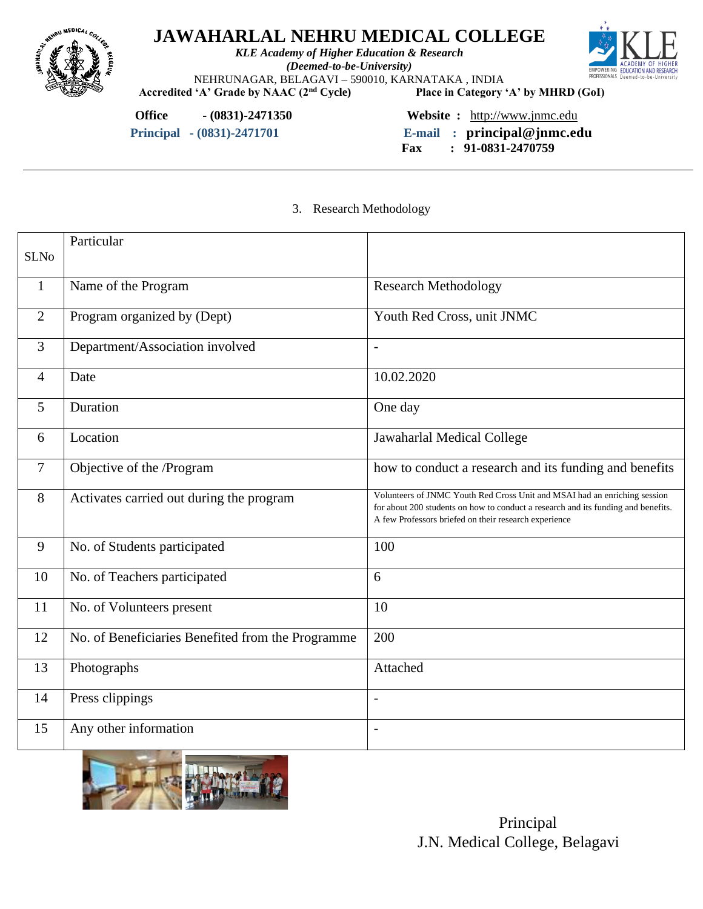

*KLE Academy of Higher Education & Research (Deemed-to-be-University)* NEHRUNAGAR, BELAGAVI – 590010, KARNATAKA, INDIA<br>
'A' Grade by NAAC (2<sup>nd</sup> Cycle) Place in Category 'A' by MHRD (GoI)



Accredited 'A' Grade by NAAC (2<sup>nd</sup> Cycle)

**Office - (0831)-2471350 Website :** [http://www.jnmc.edu](http://www.jnmc.edu/)

 **Principal - (0831)-2471701 E-mail : principal@jnmc.edu**

 **Fax : 91-0831-2470759**

3. Research Methodology

|                | Particular                                        |                                                                                                                                                                                                                         |
|----------------|---------------------------------------------------|-------------------------------------------------------------------------------------------------------------------------------------------------------------------------------------------------------------------------|
| <b>SLNo</b>    |                                                   |                                                                                                                                                                                                                         |
| 1              | Name of the Program                               | <b>Research Methodology</b>                                                                                                                                                                                             |
|                |                                                   |                                                                                                                                                                                                                         |
| $\overline{2}$ | Program organized by (Dept)                       | Youth Red Cross, unit JNMC                                                                                                                                                                                              |
| $\overline{3}$ | Department/Association involved                   | $\overline{a}$                                                                                                                                                                                                          |
| $\overline{4}$ | Date                                              | 10.02.2020                                                                                                                                                                                                              |
| 5              | Duration                                          | One day                                                                                                                                                                                                                 |
| 6              | Location                                          | Jawaharlal Medical College                                                                                                                                                                                              |
| 7              | Objective of the /Program                         | how to conduct a research and its funding and benefits                                                                                                                                                                  |
| 8              | Activates carried out during the program          | Volunteers of JNMC Youth Red Cross Unit and MSAI had an enriching session<br>for about 200 students on how to conduct a research and its funding and benefits.<br>A few Professors briefed on their research experience |
| 9              | No. of Students participated                      | 100                                                                                                                                                                                                                     |
| 10             | No. of Teachers participated                      | 6                                                                                                                                                                                                                       |
| 11             | No. of Volunteers present                         | 10                                                                                                                                                                                                                      |
| 12             | No. of Beneficiaries Benefited from the Programme | 200                                                                                                                                                                                                                     |
| 13             | Photographs                                       | Attached                                                                                                                                                                                                                |
| 14             | Press clippings                                   | $\overline{a}$                                                                                                                                                                                                          |
| 15             | Any other information                             | $\overline{a}$                                                                                                                                                                                                          |

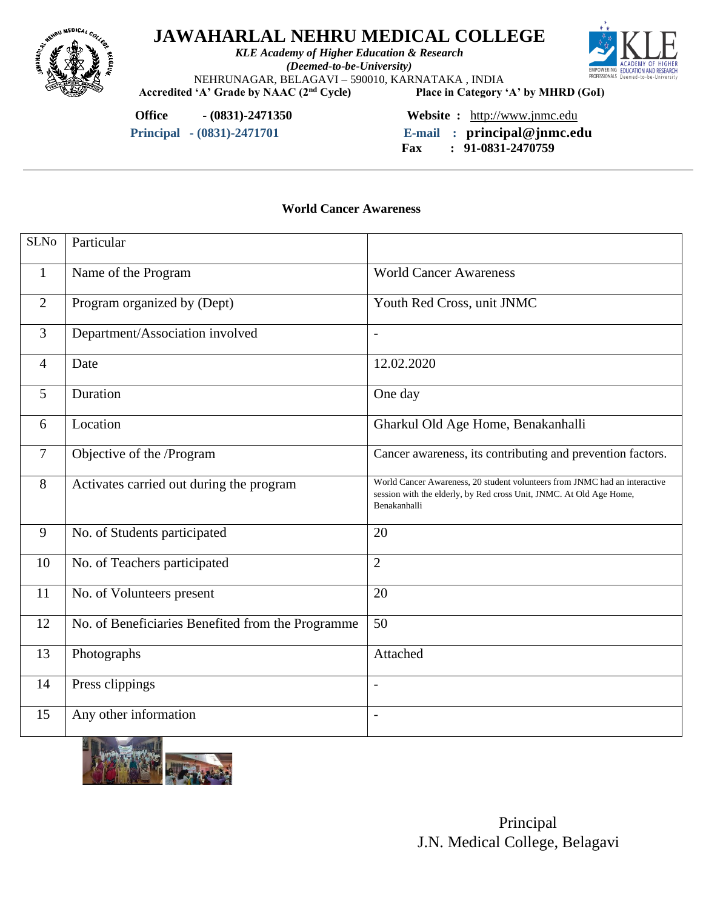

*KLE Academy of Higher Education & Research (Deemed-to-be-University)* NEHRUNAGAR, BELAGAVI – 590010, KARNATAKA, INDIA<br>
'A' Grade by NAAC (2<sup>nd</sup> Cycle) Place in Category 'A' by MHRD (GoI)



Accredited 'A' Grade by NAAC (2<sup>nd</sup> Cycle)

**Office - (0831)-2471350 Website :** [http://www.jnmc.edu](http://www.jnmc.edu/)

 **Principal - (0831)-2471701 E-mail : principal@jnmc.edu**

 **Fax : 91-0831-2470759**

**World Cancer Awareness**

| <b>SLNo</b>    | Particular                                                  |                                                                                                                                                                   |
|----------------|-------------------------------------------------------------|-------------------------------------------------------------------------------------------------------------------------------------------------------------------|
| 1              | Name of the Program                                         | <b>World Cancer Awareness</b>                                                                                                                                     |
| $\overline{2}$ | Program organized by (Dept)                                 | Youth Red Cross, unit JNMC                                                                                                                                        |
| 3              | Department/Association involved                             | $\overline{\phantom{a}}$                                                                                                                                          |
| $\overline{4}$ | Date                                                        | 12.02.2020                                                                                                                                                        |
| 5              | Duration                                                    | One day                                                                                                                                                           |
| 6              | Location                                                    | Gharkul Old Age Home, Benakanhalli                                                                                                                                |
| $\overline{7}$ | Objective of the /Program                                   | Cancer awareness, its contributing and prevention factors.                                                                                                        |
| 8              | Activates carried out during the program                    | World Cancer Awareness, 20 student volunteers from JNMC had an interactive<br>session with the elderly, by Red cross Unit, JNMC. At Old Age Home,<br>Benakanhalli |
| 9              | No. of Students participated                                | 20                                                                                                                                                                |
| 10             | No. of Teachers participated                                | $\overline{2}$                                                                                                                                                    |
| 11             | No. of Volunteers present                                   | 20                                                                                                                                                                |
| 12             | No. of Beneficiaries Benefited from the Programme           | 50                                                                                                                                                                |
| 13             | Photographs                                                 | Attached                                                                                                                                                          |
| 14             | Press clippings                                             | $\overline{a}$                                                                                                                                                    |
| 15             | Any other information<br><b>SALES COMPANY AND RESIDENCE</b> | $\overline{\phantom{a}}$                                                                                                                                          |

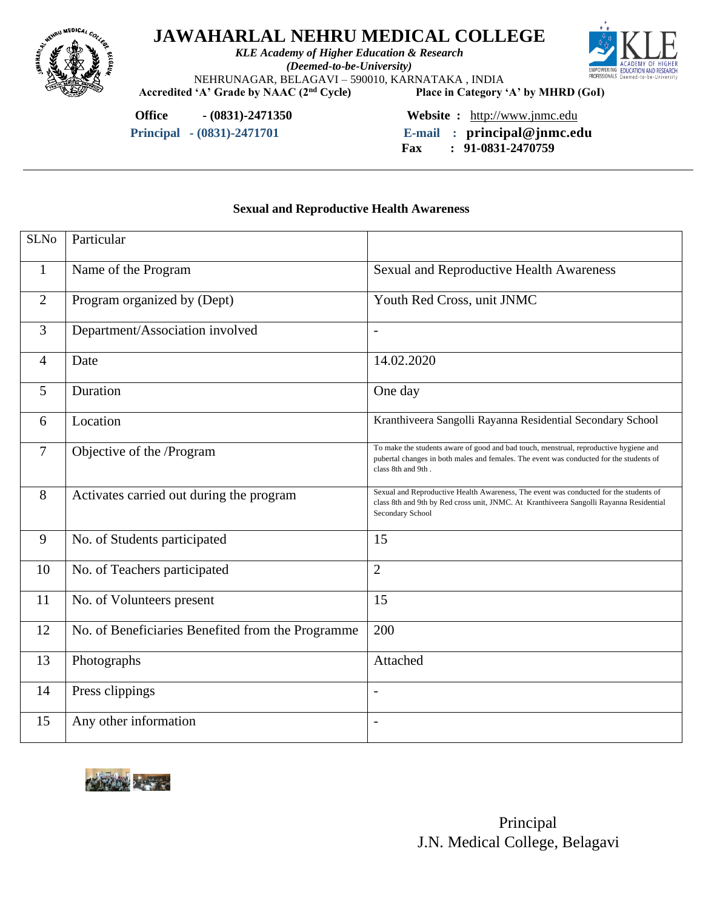

*KLE Academy of Higher Education & Research (Deemed-to-be-University)* NEHRUNAGAR, BELAGAVI – 590010, KARNATAKA, INDIA<br>
'A' Grade by NAAC (2<sup>nd</sup> Cycle) Place in Category 'A' by MHRD (GoI)



Accredited 'A' Grade by NAAC (2<sup>nd</sup> Cycle)

**Office - (0831)-2471350 Website :** [http://www.jnmc.edu](http://www.jnmc.edu/)

 **Principal - (0831)-2471701 E-mail : principal@jnmc.edu**

 **Fax : 91-0831-2470759**

### **Sexual and Reproductive Health Awareness**

| <b>SLNo</b>    | Particular                                        |                                                                                                                                                                                                        |
|----------------|---------------------------------------------------|--------------------------------------------------------------------------------------------------------------------------------------------------------------------------------------------------------|
| 1              | Name of the Program                               | <b>Sexual and Reproductive Health Awareness</b>                                                                                                                                                        |
| $\overline{2}$ | Program organized by (Dept)                       | Youth Red Cross, unit JNMC                                                                                                                                                                             |
| 3              | Department/Association involved                   | $\overline{\phantom{a}}$                                                                                                                                                                               |
| 4              | Date                                              | 14.02.2020                                                                                                                                                                                             |
| 5              | Duration                                          | One day                                                                                                                                                                                                |
| 6              | Location                                          | Kranthiveera Sangolli Rayanna Residential Secondary School                                                                                                                                             |
| 7              | Objective of the /Program                         | To make the students aware of good and bad touch, menstrual, reproductive hygiene and<br>pubertal changes in both males and females. The event was conducted for the students of<br>class 8th and 9th. |
| 8              | Activates carried out during the program          | Sexual and Reproductive Health Awareness, The event was conducted for the students of<br>class 8th and 9th by Red cross unit, JNMC. At Kranthiveera Sangolli Rayanna Residential<br>Secondary School   |
| 9              | No. of Students participated                      | 15                                                                                                                                                                                                     |
| 10             | No. of Teachers participated                      | $\overline{2}$                                                                                                                                                                                         |
| 11             | No. of Volunteers present                         | 15                                                                                                                                                                                                     |
| 12             | No. of Beneficiaries Benefited from the Programme | 200                                                                                                                                                                                                    |
| 13             | Photographs                                       | Attached                                                                                                                                                                                               |
| 14             | Press clippings                                   | $\overline{\phantom{a}}$                                                                                                                                                                               |
| 15             | Any other information                             | $\overline{\phantom{a}}$                                                                                                                                                                               |

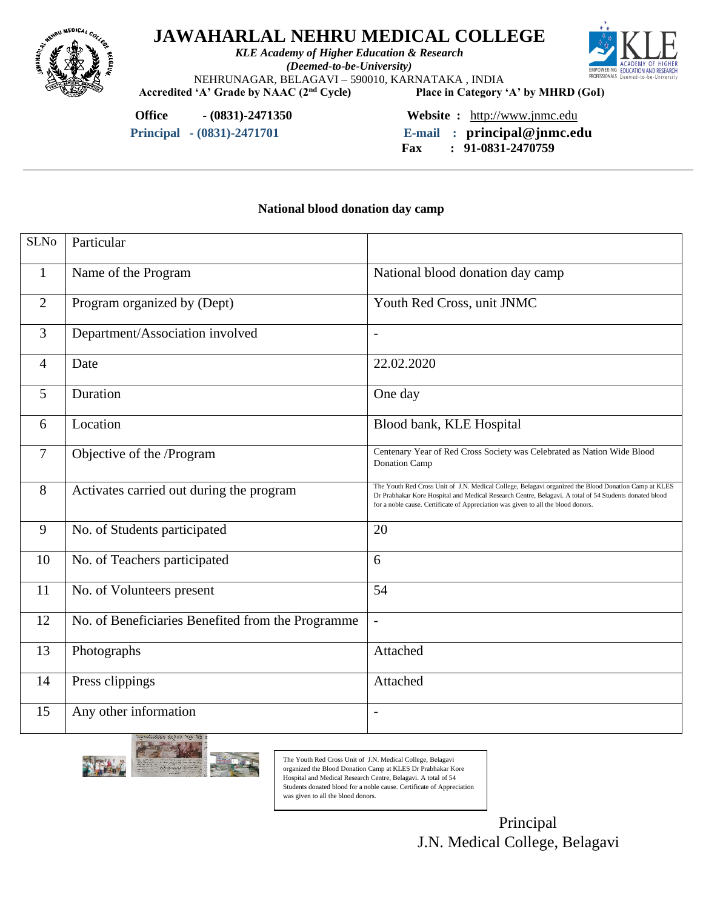

*KLE Academy of Higher Education & Research (Deemed-to-be-University)* NEHRUNAGAR, BELAGAVI – 590010, KARNATAKA , INDIA



**Accredited 'A' Grade by NAAC (2nd Cycle) Place in Category 'A' by MHRD (GoI)**

**Office - (0831)-2471350 Website :** [http://www.jnmc.edu](http://www.jnmc.edu/)

 **Principal - (0831)-2471701 E-mail : principal@jnmc.edu**

 **Fax : 91-0831-2470759**

#### **National blood donation day camp**

| <b>SLNo</b>    | Particular                                        |                                                                                                                                                                                                                                                                                                     |
|----------------|---------------------------------------------------|-----------------------------------------------------------------------------------------------------------------------------------------------------------------------------------------------------------------------------------------------------------------------------------------------------|
| 1              | Name of the Program                               | National blood donation day camp                                                                                                                                                                                                                                                                    |
| $\overline{2}$ | Program organized by (Dept)                       | Youth Red Cross, unit JNMC                                                                                                                                                                                                                                                                          |
| 3              | Department/Association involved                   | $\overline{\phantom{a}}$                                                                                                                                                                                                                                                                            |
| 4              | Date                                              | 22.02.2020                                                                                                                                                                                                                                                                                          |
| 5              | Duration                                          | One day                                                                                                                                                                                                                                                                                             |
| 6              | Location                                          | Blood bank, KLE Hospital                                                                                                                                                                                                                                                                            |
| $\overline{7}$ | Objective of the /Program                         | Centenary Year of Red Cross Society was Celebrated as Nation Wide Blood<br>Donation Camp                                                                                                                                                                                                            |
| 8              | Activates carried out during the program          | The Youth Red Cross Unit of J.N. Medical College, Belagavi organized the Blood Donation Camp at KLES<br>Dr Prabhakar Kore Hospital and Medical Research Centre, Belagavi. A total of 54 Students donated blood<br>for a noble cause. Certificate of Appreciation was given to all the blood donors. |
| 9              | No. of Students participated                      | 20                                                                                                                                                                                                                                                                                                  |
| 10             | No. of Teachers participated                      | 6                                                                                                                                                                                                                                                                                                   |
| 11             | No. of Volunteers present                         | 54                                                                                                                                                                                                                                                                                                  |
| 12             | No. of Beneficiaries Benefited from the Programme | $\overline{a}$                                                                                                                                                                                                                                                                                      |
| 13             | Photographs                                       | Attached                                                                                                                                                                                                                                                                                            |
| 14             | Press clippings                                   | Attached                                                                                                                                                                                                                                                                                            |
| 15             | Any other information                             | $\overline{\phantom{0}}$                                                                                                                                                                                                                                                                            |



The Youth Red Cross Unit of J.N. Medical College, Belagavi organized the Blood Donation Camp at KLES Dr Prabhakar Kore Hospital and Medical Research Centre, Belagavi. A total of 54 Students donated blood for a noble cause. Certificate of Appreciation was given to all the blood donors.

> Principal J.N. Medical College, Belagavi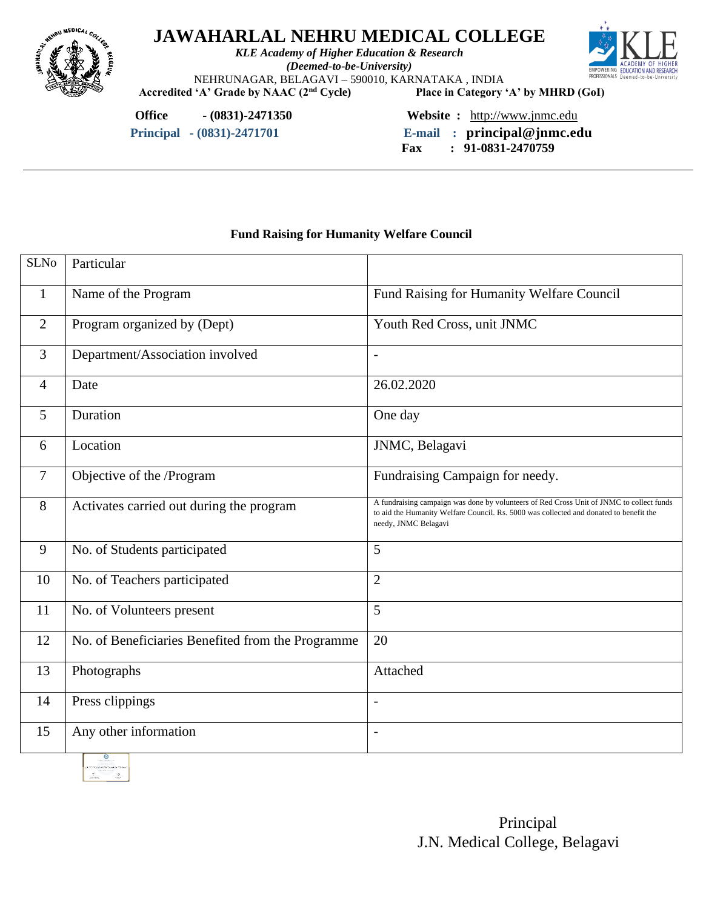

*KLE Academy of Higher Education & Research (Deemed-to-be-University)* NEHRUNAGAR, BELAGAVI – 590010, KARNATAKA, INDIA<br>
'A' Grade by NAAC (2<sup>nd</sup> Cycle) Place in Category 'A' by MHRD (GoI)



Accredited 'A' Grade by NAAC (2<sup>nd</sup> Cycle)

**Office - (0831)-2471350 Website :** [http://www.jnmc.edu](http://www.jnmc.edu/)

 **Principal - (0831)-2471701 E-mail : principal@jnmc.edu Fax : 91-0831-2470759**

### **Fund Raising for Humanity Welfare Council**

| <b>SLNo</b>    | Particular                                        |                                                                                                                                                                                                            |
|----------------|---------------------------------------------------|------------------------------------------------------------------------------------------------------------------------------------------------------------------------------------------------------------|
| 1              | Name of the Program                               | Fund Raising for Humanity Welfare Council                                                                                                                                                                  |
| $\overline{2}$ | Program organized by (Dept)                       | Youth Red Cross, unit JNMC                                                                                                                                                                                 |
| 3              | Department/Association involved                   | $\blacksquare$                                                                                                                                                                                             |
| 4              | Date                                              | 26.02.2020                                                                                                                                                                                                 |
| 5              | Duration                                          | One day                                                                                                                                                                                                    |
| 6              | Location                                          | JNMC, Belagavi                                                                                                                                                                                             |
| $\overline{7}$ | Objective of the /Program                         | Fundraising Campaign for needy.                                                                                                                                                                            |
| 8              | Activates carried out during the program          | A fundraising campaign was done by volunteers of Red Cross Unit of JNMC to collect funds<br>to aid the Humanity Welfare Council. Rs. 5000 was collected and donated to benefit the<br>needy, JNMC Belagavi |
| 9              | No. of Students participated                      | 5                                                                                                                                                                                                          |
| 10             | No. of Teachers participated                      | $\overline{2}$                                                                                                                                                                                             |
| 11             | No. of Volunteers present                         | 5                                                                                                                                                                                                          |
| 12             | No. of Beneficiaries Benefited from the Programme | 20                                                                                                                                                                                                         |
| 13             | Photographs                                       | Attached                                                                                                                                                                                                   |
| 14             | Press clippings                                   | ۰                                                                                                                                                                                                          |
| 15             | Any other information                             | $\overline{\phantom{a}}$                                                                                                                                                                                   |

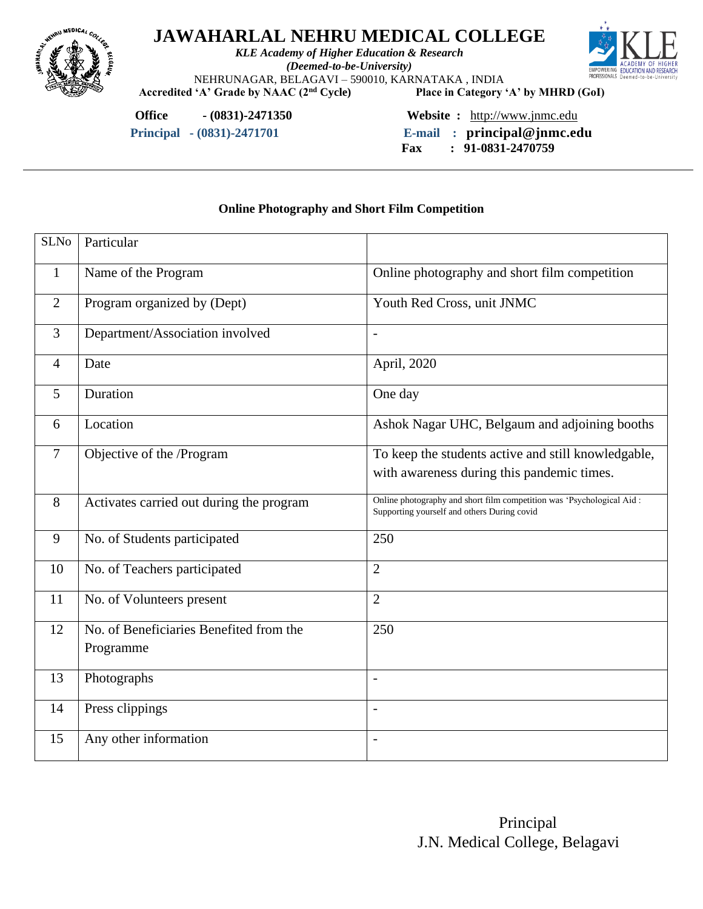

*KLE Academy of Higher Education & Research (Deemed-to-be-University)* NEHRUNAGAR, BELAGAVI – 590010, KARNATAKA, INDIA<br>
'A' Grade by NAAC (2<sup>nd</sup> Cycle) Place in Category 'A' by MHRD (GoI)



Accredited 'A' Grade by NAAC (2<sup>nd</sup> Cycle)

**Office - (0831)-2471350 Website :** [http://www.jnmc.edu](http://www.jnmc.edu/)

 **Principal - (0831)-2471701 E-mail : principal@jnmc.edu**

 **Fax : 91-0831-2470759**

### **Online Photography and Short Film Competition**

| <b>SLNo</b>    | Particular                                           |                                                                                                                      |
|----------------|------------------------------------------------------|----------------------------------------------------------------------------------------------------------------------|
| $\mathbf{1}$   | Name of the Program                                  | Online photography and short film competition                                                                        |
| 2              | Program organized by (Dept)                          | Youth Red Cross, unit JNMC                                                                                           |
| 3              | Department/Association involved                      | $\overline{\phantom{0}}$                                                                                             |
| $\overline{4}$ | Date                                                 | April, 2020                                                                                                          |
| $\mathfrak{S}$ | Duration                                             | One day                                                                                                              |
| 6              | Location                                             | Ashok Nagar UHC, Belgaum and adjoining booths                                                                        |
| $\overline{7}$ | Objective of the /Program                            | To keep the students active and still knowledgable,<br>with awareness during this pandemic times.                    |
| 8              | Activates carried out during the program             | Online photography and short film competition was 'Psychological Aid:<br>Supporting yourself and others During covid |
| 9              | No. of Students participated                         | 250                                                                                                                  |
| 10             | No. of Teachers participated                         | $\overline{2}$                                                                                                       |
| 11             | No. of Volunteers present                            | $\overline{2}$                                                                                                       |
| 12             | No. of Beneficiaries Benefited from the<br>Programme | 250                                                                                                                  |
| 13             | Photographs                                          | $\overline{\phantom{a}}$                                                                                             |
| 14             | Press clippings                                      | $\overline{a}$                                                                                                       |
| 15             | Any other information                                | $\overline{\phantom{0}}$                                                                                             |